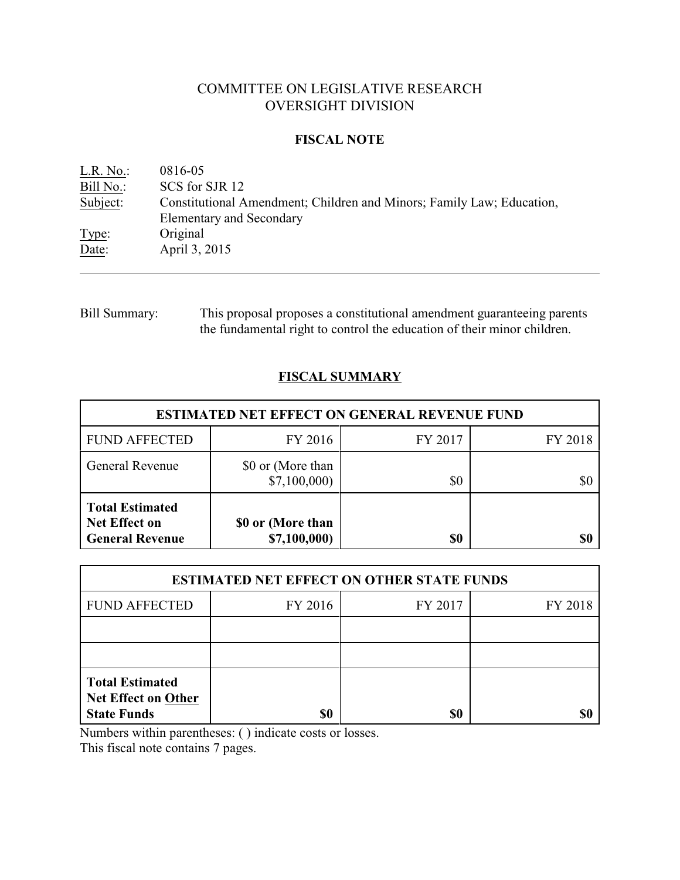# COMMITTEE ON LEGISLATIVE RESEARCH OVERSIGHT DIVISION

## **FISCAL NOTE**

| L.R. No.  | 0816-05                                                               |
|-----------|-----------------------------------------------------------------------|
| Bill No.: | SCS for SJR 12                                                        |
| Subject:  | Constitutional Amendment; Children and Minors; Family Law; Education, |
|           | <b>Elementary and Secondary</b>                                       |
| Type:     | Original                                                              |
| Date:     | April 3, 2015                                                         |
|           |                                                                       |

Bill Summary: This proposal proposes a constitutional amendment guaranteeing parents the fundamental right to control the education of their minor children.

# **FISCAL SUMMARY**

| <b>ESTIMATED NET EFFECT ON GENERAL REVENUE FUND</b>                      |                                   |         |         |  |
|--------------------------------------------------------------------------|-----------------------------------|---------|---------|--|
| <b>FUND AFFECTED</b>                                                     | FY 2016                           | FY 2017 | FY 2018 |  |
| General Revenue                                                          | \$0 or (More than<br>\$7,100,000  | \$0     |         |  |
| <b>Total Estimated</b><br><b>Net Effect on</b><br><b>General Revenue</b> | \$0 or (More than<br>\$7,100,000) | \$0     |         |  |

| <b>ESTIMATED NET EFFECT ON OTHER STATE FUNDS</b>                           |         |         |         |  |
|----------------------------------------------------------------------------|---------|---------|---------|--|
| <b>FUND AFFECTED</b>                                                       | FY 2016 | FY 2017 | FY 2018 |  |
|                                                                            |         |         |         |  |
|                                                                            |         |         |         |  |
| <b>Total Estimated</b><br><b>Net Effect on Other</b><br><b>State Funds</b> | \$0     | \$0     |         |  |

Numbers within parentheses: ( ) indicate costs or losses.

This fiscal note contains 7 pages.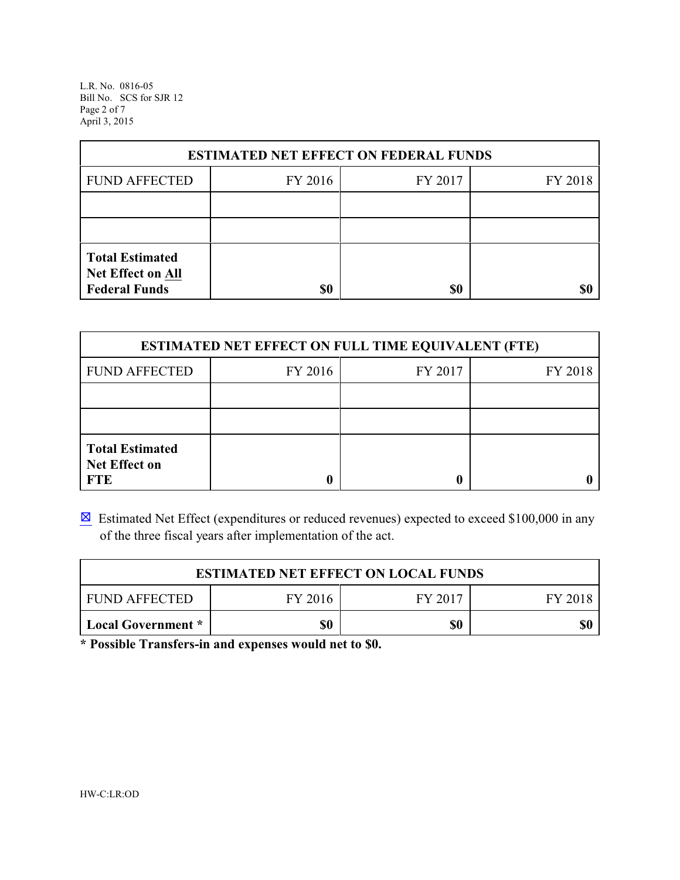L.R. No. 0816-05 Bill No. SCS for SJR 12 Page 2 of 7 April 3, 2015

| <b>ESTIMATED NET EFFECT ON FEDERAL FUNDS</b>                        |         |         |         |  |  |
|---------------------------------------------------------------------|---------|---------|---------|--|--|
| <b>FUND AFFECTED</b>                                                | FY 2016 | FY 2017 | FY 2018 |  |  |
|                                                                     |         |         |         |  |  |
|                                                                     |         |         |         |  |  |
| <b>Total Estimated</b><br>Net Effect on All<br><b>Federal Funds</b> | \$0     | \$0     |         |  |  |

| <b>ESTIMATED NET EFFECT ON FULL TIME EQUIVALENT (FTE)</b>    |         |         |         |  |  |
|--------------------------------------------------------------|---------|---------|---------|--|--|
| <b>FUND AFFECTED</b>                                         | FY 2016 | FY 2017 | FY 2018 |  |  |
|                                                              |         |         |         |  |  |
|                                                              |         |         |         |  |  |
| <b>Total Estimated</b><br><b>Net Effect on</b><br><b>FTE</b> |         |         |         |  |  |

 $\boxtimes$  Estimated Net Effect (expenditures or reduced revenues) expected to exceed \$100,000 in any of the three fiscal years after implementation of the act.

| <b>ESTIMATED NET EFFECT ON LOCAL FUNDS</b> |     |     |  |  |
|--------------------------------------------|-----|-----|--|--|
| FUND AFFECTED<br>FY 2016<br>FY 2017        |     |     |  |  |
| Local Government *                         | \$0 | \$0 |  |  |

**\* Possible Transfers-in and expenses would net to \$0.**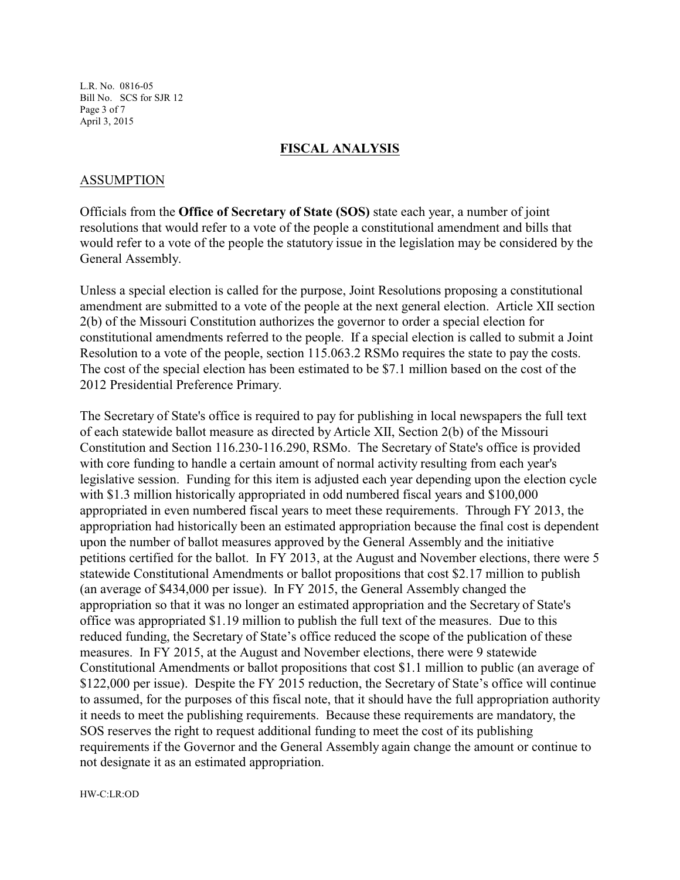L.R. No. 0816-05 Bill No. SCS for SJR 12 Page 3 of 7 April 3, 2015

#### **FISCAL ANALYSIS**

### ASSUMPTION

Officials from the **Office of Secretary of State (SOS)** state each year, a number of joint resolutions that would refer to a vote of the people a constitutional amendment and bills that would refer to a vote of the people the statutory issue in the legislation may be considered by the General Assembly.

Unless a special election is called for the purpose, Joint Resolutions proposing a constitutional amendment are submitted to a vote of the people at the next general election. Article XII section 2(b) of the Missouri Constitution authorizes the governor to order a special election for constitutional amendments referred to the people. If a special election is called to submit a Joint Resolution to a vote of the people, section 115.063.2 RSMo requires the state to pay the costs. The cost of the special election has been estimated to be \$7.1 million based on the cost of the 2012 Presidential Preference Primary.

The Secretary of State's office is required to pay for publishing in local newspapers the full text of each statewide ballot measure as directed by Article XII, Section 2(b) of the Missouri Constitution and Section 116.230-116.290, RSMo. The Secretary of State's office is provided with core funding to handle a certain amount of normal activity resulting from each year's legislative session. Funding for this item is adjusted each year depending upon the election cycle with \$1.3 million historically appropriated in odd numbered fiscal years and \$100,000 appropriated in even numbered fiscal years to meet these requirements. Through FY 2013, the appropriation had historically been an estimated appropriation because the final cost is dependent upon the number of ballot measures approved by the General Assembly and the initiative petitions certified for the ballot. In FY 2013, at the August and November elections, there were 5 statewide Constitutional Amendments or ballot propositions that cost \$2.17 million to publish (an average of \$434,000 per issue). In FY 2015, the General Assembly changed the appropriation so that it was no longer an estimated appropriation and the Secretary of State's office was appropriated \$1.19 million to publish the full text of the measures. Due to this reduced funding, the Secretary of State's office reduced the scope of the publication of these measures. In FY 2015, at the August and November elections, there were 9 statewide Constitutional Amendments or ballot propositions that cost \$1.1 million to public (an average of \$122,000 per issue). Despite the FY 2015 reduction, the Secretary of State's office will continue to assumed, for the purposes of this fiscal note, that it should have the full appropriation authority it needs to meet the publishing requirements. Because these requirements are mandatory, the SOS reserves the right to request additional funding to meet the cost of its publishing requirements if the Governor and the General Assembly again change the amount or continue to not designate it as an estimated appropriation.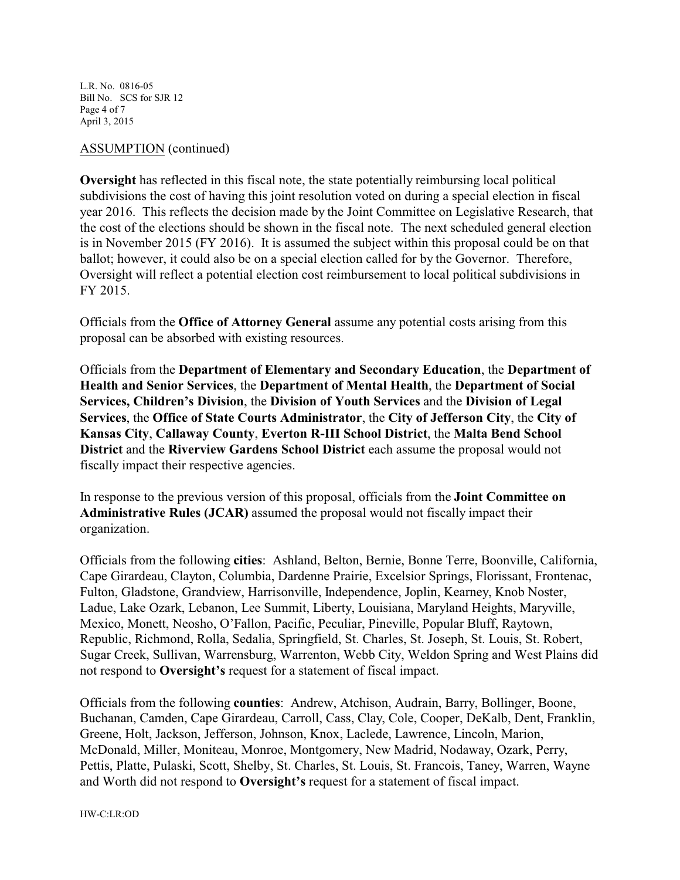L.R. No. 0816-05 Bill No. SCS for SJR 12 Page 4 of 7 April 3, 2015

### ASSUMPTION (continued)

**Oversight** has reflected in this fiscal note, the state potentially reimbursing local political subdivisions the cost of having this joint resolution voted on during a special election in fiscal year 2016. This reflects the decision made by the Joint Committee on Legislative Research, that the cost of the elections should be shown in the fiscal note. The next scheduled general election is in November 2015 (FY 2016). It is assumed the subject within this proposal could be on that ballot; however, it could also be on a special election called for by the Governor. Therefore, Oversight will reflect a potential election cost reimbursement to local political subdivisions in FY 2015.

Officials from the **Office of Attorney General** assume any potential costs arising from this proposal can be absorbed with existing resources.

Officials from the **Department of Elementary and Secondary Education**, the **Department of Health and Senior Services**, the **Department of Mental Health**, the **Department of Social Services, Children's Division**, the **Division of Youth Services** and the **Division of Legal Services**, the **Office of State Courts Administrator**, the **City of Jefferson City**, the **City of Kansas City**, **Callaway County**, **Everton R-III School District**, the **Malta Bend School District** and the **Riverview Gardens School District** each assume the proposal would not fiscally impact their respective agencies.

In response to the previous version of this proposal, officials from the **Joint Committee on Administrative Rules (JCAR)** assumed the proposal would not fiscally impact their organization.

Officials from the following **cities**: Ashland, Belton, Bernie, Bonne Terre, Boonville, California, Cape Girardeau, Clayton, Columbia, Dardenne Prairie, Excelsior Springs, Florissant, Frontenac, Fulton, Gladstone, Grandview, Harrisonville, Independence, Joplin, Kearney, Knob Noster, Ladue, Lake Ozark, Lebanon, Lee Summit, Liberty, Louisiana, Maryland Heights, Maryville, Mexico, Monett, Neosho, O'Fallon, Pacific, Peculiar, Pineville, Popular Bluff, Raytown, Republic, Richmond, Rolla, Sedalia, Springfield, St. Charles, St. Joseph, St. Louis, St. Robert, Sugar Creek, Sullivan, Warrensburg, Warrenton, Webb City, Weldon Spring and West Plains did not respond to **Oversight's** request for a statement of fiscal impact.

Officials from the following **counties**: Andrew, Atchison, Audrain, Barry, Bollinger, Boone, Buchanan, Camden, Cape Girardeau, Carroll, Cass, Clay, Cole, Cooper, DeKalb, Dent, Franklin, Greene, Holt, Jackson, Jefferson, Johnson, Knox, Laclede, Lawrence, Lincoln, Marion, McDonald, Miller, Moniteau, Monroe, Montgomery, New Madrid, Nodaway, Ozark, Perry, Pettis, Platte, Pulaski, Scott, Shelby, St. Charles, St. Louis, St. Francois, Taney, Warren, Wayne and Worth did not respond to **Oversight's** request for a statement of fiscal impact.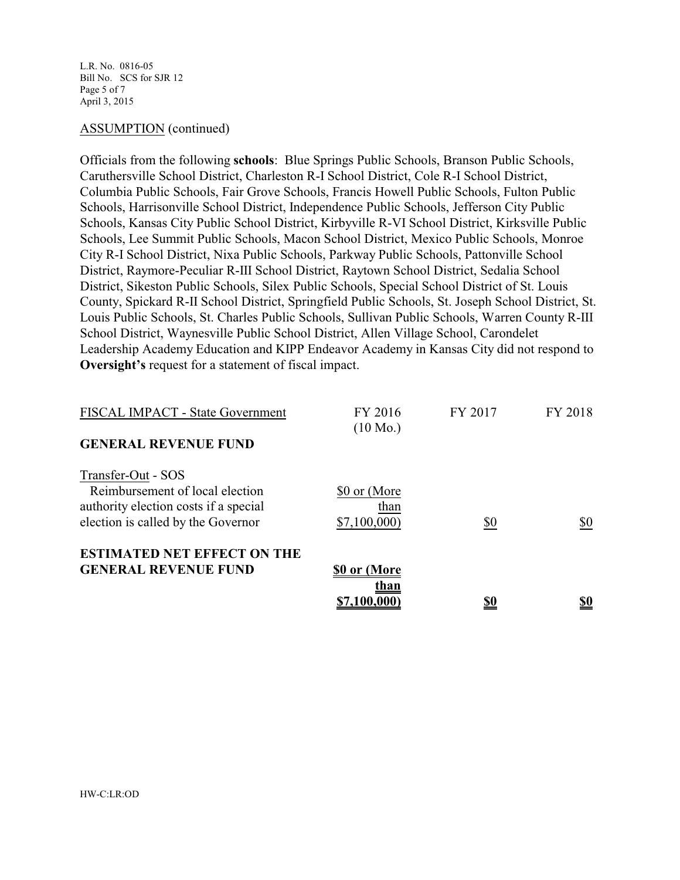L.R. No. 0816-05 Bill No. SCS for SJR 12 Page 5 of 7 April 3, 2015

#### ASSUMPTION (continued)

Officials from the following **schools**: Blue Springs Public Schools, Branson Public Schools, Caruthersville School District, Charleston R-I School District, Cole R-I School District, Columbia Public Schools, Fair Grove Schools, Francis Howell Public Schools, Fulton Public Schools, Harrisonville School District, Independence Public Schools, Jefferson City Public Schools, Kansas City Public School District, Kirbyville R-VI School District, Kirksville Public Schools, Lee Summit Public Schools, Macon School District, Mexico Public Schools, Monroe City R-I School District, Nixa Public Schools, Parkway Public Schools, Pattonville School District, Raymore-Peculiar R-III School District, Raytown School District, Sedalia School District, Sikeston Public Schools, Silex Public Schools, Special School District of St. Louis County, Spickard R-II School District, Springfield Public Schools, St. Joseph School District, St. Louis Public Schools, St. Charles Public Schools, Sullivan Public Schools, Warren County R-III School District, Waynesville Public School District, Allen Village School, Carondelet Leadership Academy Education and KIPP Endeavor Academy in Kansas City did not respond to **Oversight's** request for a statement of fiscal impact.

| <b>GENERAL REVENUE FUND</b>                                                                                                          | \$0 or (More<br>than<br>\$7,100,000 | \$0     | <u>\$0</u> |
|--------------------------------------------------------------------------------------------------------------------------------------|-------------------------------------|---------|------------|
| <b>ESTIMATED NET EFFECT ON THE</b>                                                                                                   |                                     |         |            |
| Transfer-Out - SOS<br>Reimbursement of local election<br>authority election costs if a special<br>election is called by the Governor | \$0 or (More<br>than<br>\$7,100,000 | \$0     | \$0        |
| <b>FISCAL IMPACT - State Government</b><br><b>GENERAL REVENUE FUND</b>                                                               | FY 2016<br>$(10 \text{ Mo.})$       | FY 2017 | FY 2018    |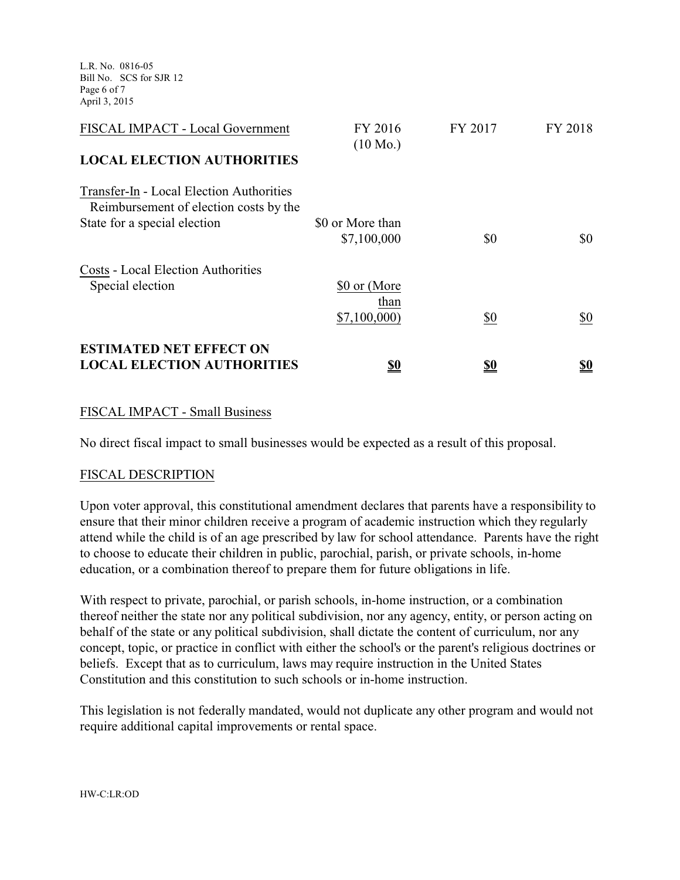L.R. No. 0816-05 Bill No. SCS for SJR 12 Page 6 of 7 April 3, 2015

| FISCAL IMPACT - Local Government                                                   | FY 2016<br>$(10 \text{ Mo.})$   | FY 2017    | FY 2018   |
|------------------------------------------------------------------------------------|---------------------------------|------------|-----------|
| <b>LOCAL ELECTION AUTHORITIES</b>                                                  |                                 |            |           |
| Transfer-In - Local Election Authorities<br>Reimbursement of election costs by the |                                 |            |           |
| State for a special election                                                       | \$0 or More than<br>\$7,100,000 | \$0        | \$0       |
| <b>Costs - Local Election Authorities</b><br>Special election                      | \$0 or (More                    |            |           |
|                                                                                    | than<br>\$7,100,000             | \$0        | \$0       |
| <b>ESTIMATED NET EFFECT ON</b><br><b>LOCAL ELECTION AUTHORITIES</b>                | <u>so</u>                       | <u>\$0</u> | <u>so</u> |

### FISCAL IMPACT - Small Business

No direct fiscal impact to small businesses would be expected as a result of this proposal.

#### FISCAL DESCRIPTION

Upon voter approval, this constitutional amendment declares that parents have a responsibility to ensure that their minor children receive a program of academic instruction which they regularly attend while the child is of an age prescribed by law for school attendance. Parents have the right to choose to educate their children in public, parochial, parish, or private schools, in-home education, or a combination thereof to prepare them for future obligations in life.

With respect to private, parochial, or parish schools, in-home instruction, or a combination thereof neither the state nor any political subdivision, nor any agency, entity, or person acting on behalf of the state or any political subdivision, shall dictate the content of curriculum, nor any concept, topic, or practice in conflict with either the school's or the parent's religious doctrines or beliefs. Except that as to curriculum, laws may require instruction in the United States Constitution and this constitution to such schools or in-home instruction.

This legislation is not federally mandated, would not duplicate any other program and would not require additional capital improvements or rental space.